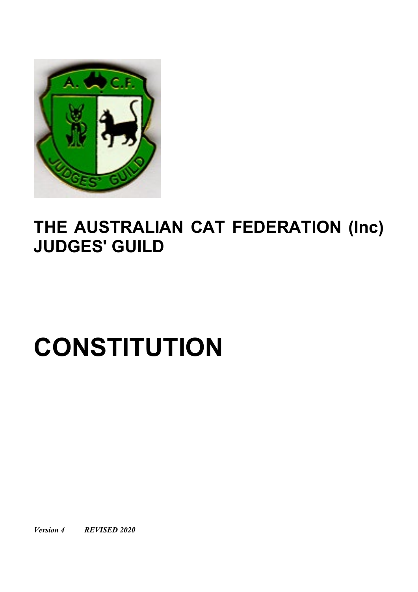

## **THE AUSTRALIAN CAT FEDERATION (Inc) JUDGES' GUILD**

# **CONSTITUTION**

*Version 4 REVISED 2020*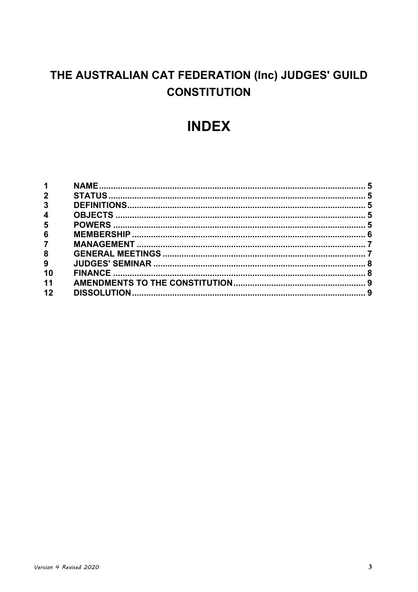### THE AUSTRALIAN CAT FEDERATION (Inc) JUDGES' GUILD **CONSTITUTION**

## **INDEX**

| $\mathbf 1$             |  |
|-------------------------|--|
| 2 <sup>1</sup>          |  |
| $\overline{3}$          |  |
| $\overline{\mathbf{4}}$ |  |
| 5                       |  |
| 6                       |  |
| $\overline{7}$          |  |
| 8                       |  |
| 9                       |  |
| 10                      |  |
| 11                      |  |
| 12                      |  |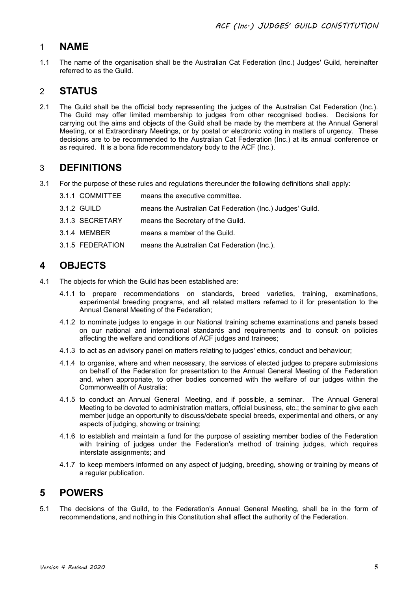#### <span id="page-4-0"></span>1 **NAME**

1.1 The name of the organisation shall be the Australian Cat Federation (Inc.) Judges' Guild, hereinafter referred to as the Guild.

#### <span id="page-4-1"></span>2 **STATUS**

2.1 The Guild shall be the official body representing the judges of the Australian Cat Federation (Inc.). The Guild may offer limited membership to judges from other recognised bodies. Decisions for carrying out the aims and objects of the Guild shall be made by the members at the Annual General Meeting, or at Extraordinary Meetings, or by postal or electronic voting in matters of urgency. These decisions are to be recommended to the Australian Cat Federation (Inc.) at its annual conference or as required. It is a bona fide recommendatory body to the ACF (Inc.).

#### <span id="page-4-2"></span>3 **DEFINITIONS**

3.1 For the purpose of these rules and regulations thereunder the following definitions shall apply:

| 3.1.1 COMMITTEE  | means the executive committee.                            |
|------------------|-----------------------------------------------------------|
| 3.1.2 GUILD      | means the Australian Cat Federation (Inc.) Judges' Guild. |
| 3.1.3 SECRETARY  | means the Secretary of the Guild.                         |
| 3.1.4 MEMBER     | means a member of the Guild.                              |
| 3.1.5 FEDERATION | means the Australian Cat Federation (Inc.).               |

#### <span id="page-4-3"></span>**4 OBJECTS**

- 4.1 The objects for which the Guild has been established are:
	- 4.1.1 to prepare recommendations on standards, breed varieties, training, examinations, experimental breeding programs, and all related matters referred to it for presentation to the Annual General Meeting of the Federation;
	- 4.1.2 to nominate judges to engage in our National training scheme examinations and panels based on our national and international standards and requirements and to consult on policies affecting the welfare and conditions of ACF judges and trainees;
	- 4.1.3 to act as an advisory panel on matters relating to judges' ethics, conduct and behaviour;
	- 4.1.4 to organise, where and when necessary, the services of elected judges to prepare submissions on behalf of the Federation for presentation to the Annual General Meeting of the Federation and, when appropriate, to other bodies concerned with the welfare of our judges within the Commonwealth of Australia;
	- 4.1.5 to conduct an Annual General Meeting, and if possible, a seminar. The Annual General Meeting to be devoted to administration matters, official business, etc.; the seminar to give each member judge an opportunity to discuss/debate special breeds, experimental and others, or any aspects of judging, showing or training;
	- 4.1.6 to establish and maintain a fund for the purpose of assisting member bodies of the Federation with training of judges under the Federation's method of training judges, which requires interstate assignments; and
	- 4.1.7 to keep members informed on any aspect of judging, breeding, showing or training by means of a regular publication.

#### <span id="page-4-4"></span>**5 POWERS**

5.1 The decisions of the Guild, to the Federation's Annual General Meeting, shall be in the form of recommendations, and nothing in this Constitution shall affect the authority of the Federation*.*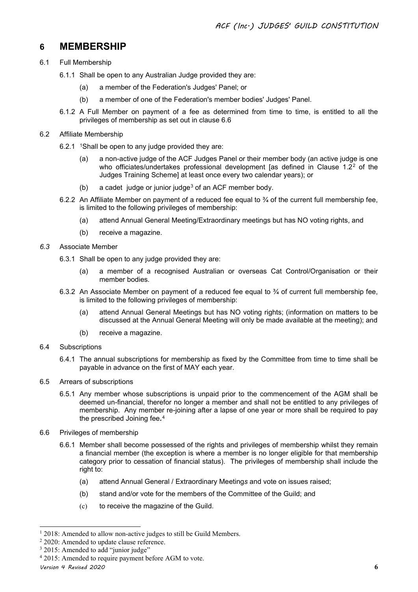#### <span id="page-5-0"></span>**6 MEMBERSHIP**

- 6.1 Full Membership
	- 6.1.1 Shall be open to any Australian Judge provided they are:
		- (a) a member of the Federation's Judges' Panel; or
		- (b) a member of one of the Federation's member bodies' Judges' Panel.
	- 6.1.2 A Full Member on payment of a fee as determined from time to time, is entitled to all the privileges of membership as set out in clause 6.6
- 6.2 Affiliate Membership
	- 6.2.[1](#page-5-1)  $\sqrt[1]{8}$  1Shall be open to any judge provided they are:
		- (a) a non-active judge of the ACF Judges Panel or their member body (an active judge is one who officiates/undertakes professional development [as defined in Clause  $1.2^2$  $1.2^2$  $1.2^2$  of the Judges Training Scheme] at least once every two calendar years); or
		- (b) a cadet judge or junior judge<sup>[3](#page-5-3)</sup> of an ACF member body.
	- 6.2.2 An Affiliate Member on payment of a reduced fee equal to  $\frac{3}{4}$  of the current full membership fee, is limited to the following privileges of membership:
		- (a) attend Annual General Meeting/Extraordinary meetings but has NO voting rights, and
		- (b) receive a magazine.
- *6.3* Associate Member
	- 6.3.1 Shall be open to any judge provided they are:
		- (a) a member of a recognised Australian or overseas Cat Control/Organisation or their member bodies*.*
	- 6.3.2 An Associate Member on payment of a reduced fee equal to  $\frac{3}{4}$  of current full membership fee, is limited to the following privileges of membership:
		- (a) attend Annual General Meetings but has NO voting rights; (information on matters to be discussed at the Annual General Meeting will only be made available at the meeting); and
		- (b) receive a magazine.
- 6.4 Subscriptions
	- 6.4.1 The annual subscriptions for membership as fixed by the Committee from time to time shall be payable in advance on the first of MAY each year.
- 6.5 Arrears of subscriptions
	- 6.5.1 Any member whose subscriptions is unpaid prior to the commencement of the AGM shall be deemed un-financial, therefor no longer a member and shall not be entitled to any privileges of membership. Any member re-joining after a lapse of one year or more shall be required to pay the prescribed Joining fee*.*[4](#page-5-4)
- 6.6 Privileges of membership
	- 6.6.1 Member shall become possessed of the rights and privileges of membership whilst they remain a financial member (the exception is where a member is no longer eligible for that membership category prior to cessation of financial status). The privileges of membership shall include the right to:
		- (a) attend Annual General / Extraordinary Meeting*s* and vote on issues raised;
		- (b) stand and/or vote for the members of the Committee of the Guild; and
		- (c) to receive the magazine of the Guild.

<span id="page-5-1"></span> $12018$ : Amended to allow non-active judges to still be Guild Members.

<span id="page-5-2"></span><sup>&</sup>lt;sup>2</sup> 2020: Amended to update clause reference.

<span id="page-5-3"></span><sup>&</sup>lt;sup>3</sup> 2015: Amended to add "junior judge"

<span id="page-5-4"></span><sup>4</sup> 2015: Amended to require payment before AGM to vote.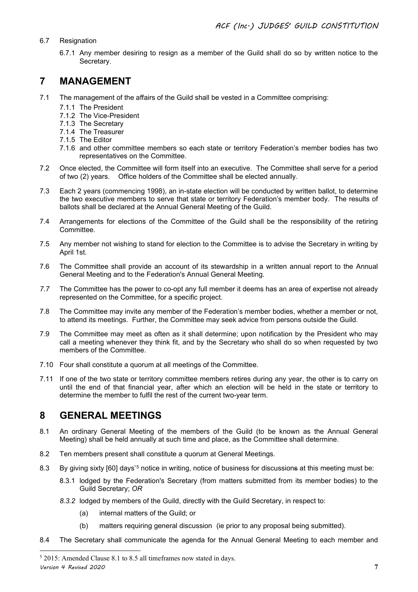#### 6.7 Resignation

6.7.1 Any member desiring to resign as a member of the Guild shall do so by written notice to the Secretary.

#### <span id="page-6-0"></span>**7 MANAGEMENT**

- 7.1 The management of the affairs of the Guild shall be vested in a Committee comprising:
	- 7.1.1 The President
	- 7.1.2 The Vice-President
	- 7.1.3 The Secretary
	- 7.1.4 The Treasurer
	- 7.1.5 The Editor
	- 7.1.6 and other committee members so each state or territory Federation's member bodies has two representatives on the Committee.
- 7.2 Once elected, the Committee will form itself into an executive. The Committee shall serve for a period of two (2) years.Office holders of the Committee shall be elected annually.
- 7.3 Each 2 years (commencing 1998), an in-state election will be conducted by written ballot, to determine the two executive members to serve that state or territory Federation's member body. The results of ballots shall be declared at the Annual General Meeting of the Guild.
- 7.4 Arrangements for elections of the Committee of the Guild shall be the responsibility of the retiring Committee.
- 7.5 Any member not wishing to stand for election to the Committee is to advise the Secretary in writing by April 1st.
- 7.6 The Committee shall provide an account of its stewardship in a written annual report to the Annual General Meeting and to the Federation's Annual General Meeting.
- *7.7* The Committee has the power to co-opt any full member it deems has an area of expertise not already represented on the Committee, for a specific project.
- 7.8 The Committee may invite any member of the Federation's member bodies, whether a member or not, to attend its meetings. Further, the Committee may seek advice from persons outside the Guild.
- 7.9 The Committee may meet as often as it shall determine; upon notification by the President who may call a meeting whenever they think fit, and by the Secretary who shall do so when requested by two members of the Committee.
- 7.10 Four shall constitute a quorum at all meetings of the Committee.
- 7.11 If one of the two state or territory committee members retires during any year, the other is to carry on until the end of that financial year, after which an election will be held in the state or territory to determine the member to fulfil the rest of the current two-year term.

#### <span id="page-6-1"></span>**8 GENERAL MEETINGS**

- 8.1 An ordinary General Meeting of the members of the Guild (to be known as the Annual General Meeting) shall be held annually at such time and place, as the Committee shall determine.
- 8.2 Ten members present shall constitute a quorum at General Meetings.
- 8.3 By giving sixty [60] days'[5](#page-6-2) notice in writing, notice of business for discussions at this meeting must be:
	- 8.3.1 lodged by the Federation's Secretary (from matters submitted from its member bodies) to the Guild Secretary; *OR*
	- *8.3.2* lodged by members of the Guild, directly with the Guild Secretary, in respect to:
		- (a) internal matters of the Guild; or
		- (b) matters requiring general discussion (ie prior to any proposal being submitted).
- 8.4 The Secretary shall communicate the agenda for the Annual General Meeting to each member and

<span id="page-6-2"></span>*Version 4 Revised 2020* **7** <sup>5</sup> 2015: Amended Clause 8.1 to 8.5 all timeframes now stated in days.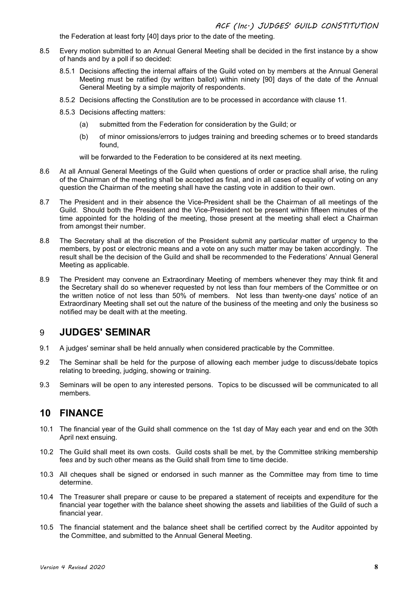the Federation at least forty [40] days prior to the date of the meeting.

- 8.5 Every motion submitted to an Annual General Meeting shall be decided in the first instance by a show of hands and by a poll if so decided:
	- 8.5.1 Decisions affecting the internal affairs of the Guild voted on by members at the Annual General Meeting must be ratified (by written ballot) within ninety [90] days of the date of the Annual General Meeting by a simple majority of respondents.
	- 8.5.2 Decisions affecting the Constitution are to be processed in accordance with clause 11*.*
	- 8.5.3 Decisions affecting matters:
		- (a) submitted from the Federation for consideration by the Guild; or
		- (b) of minor omissions/errors to judges training and breeding schemes or to breed standards found,

will be forwarded to the Federation to be considered at its next meeting.

- 8.6 At all Annual General Meetings of the Guild when questions of order or practice shall arise, the ruling of the Chairman of the meeting shall be accepted as final, and in all cases of equality of voting on any question the Chairman of the meeting shall have the casting vote in addition to their own.
- 8.7 The President and in their absence the Vice-President shall be the Chairman of all meetings of the Guild. Should both the President and the Vice-President not be present within fifteen minutes of the time appointed for the holding of the meeting, those present at the meeting shall elect a Chairman from amongst their number.
- 8.8 The Secretary shall at the discretion of the President submit any particular matter of urgency to the members, by post or electronic means and a vote on any such matter may be taken accordingly. The result shall be the decision of the Guild and shall be recommended to the Federations' Annual General Meeting as applicable.
- 8.9 The President may convene an Extraordinary Meeting of members whenever they may think fit and the Secretary shall do so whenever requested by not less than four members of the Committee or on the written notice of not less than 50% of members. Not less than twenty-one days' notice of an Extraordinary Meeting shall set out the nature of the business of the meeting and only the business so notified may be dealt with at the meeting.

#### <span id="page-7-0"></span>9 **JUDGES' SEMINAR**

- 9.1 A judges' seminar shall be held annually when considered practicable by the Committee.
- 9.2 The Seminar shall be held for the purpose of allowing each member judge to discuss/debate topics relating to breeding, judging, showing or training.
- 9.3 Seminars will be open to any interested persons. Topics to be discussed will be communicated to all members*.*

#### <span id="page-7-1"></span>**10 FINANCE**

- 10.1 The financial year of the Guild shall commence on the 1st day of May each year and end on the 30th April next ensuing.
- 10.2 The Guild shall meet its own costs. Guild costs shall be met, by the Committee striking membership fee*s* and by such other means as the Guild shall from time to time decide.
- 10.3 All cheques shall be signed or endorsed in such manner as the Committee may from time to time determine.
- 10.4 The Treasurer shall prepare or cause to be prepared a statement of receipts and expenditure for the financial year together with the balance sheet showing the assets and liabilities of the Guild of such a financial year.
- 10.5 The financial statement and the balance sheet shall be certified correct by the Auditor appointed by the Committee, and submitted to the Annual General Meeting.